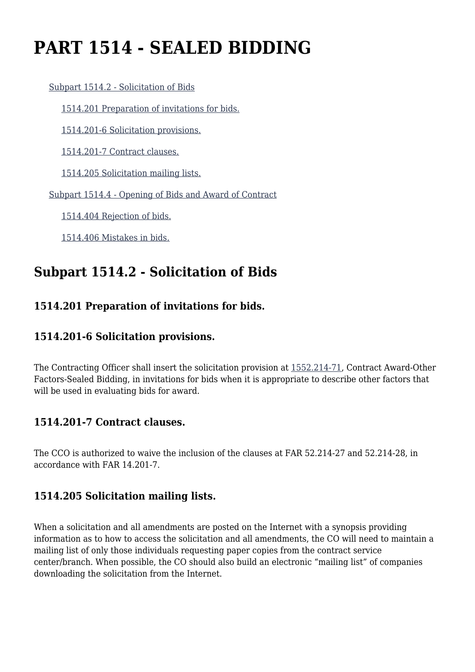# **PART 1514 - SEALED BIDDING**

[Subpart 1514.2 - Solicitation of Bids](https://origin-www.acquisition.gov/%5Brp:link:epaar-part-1514%5D#Subpart_1514_2_T48_6013121)

[1514.201 Preparation of invitations for bids.](https://origin-www.acquisition.gov/%5Brp:link:epaar-part-1514%5D#Section_1514_201_T48_601312111)

[1514.201-6 Solicitation provisions.](https://origin-www.acquisition.gov/%5Brp:link:epaar-part-1514%5D#Section_1514_201_6_T48_601312112)

[1514.201-7 Contract clauses.](https://origin-www.acquisition.gov/%5Brp:link:epaar-part-1514%5D#Section_1514_201_7_T48_601312113)

[1514.205 Solicitation mailing lists.](https://origin-www.acquisition.gov/%5Brp:link:epaar-part-1514%5D#Section_1514_205_T48_601312114)

[Subpart 1514.4 - Opening of Bids and Award of Contract](https://origin-www.acquisition.gov/%5Brp:link:epaar-part-1514%5D#Subpart_1514_4_T48_6013122)

[1514.404 Rejection of bids.](https://origin-www.acquisition.gov/%5Brp:link:epaar-part-1514%5D#Section_1514_404_T48_601312211)

[1514.406 Mistakes in bids.](https://origin-www.acquisition.gov/%5Brp:link:epaar-part-1514%5D#Section_1514_406_T48_601312212)

## **Subpart 1514.2 - Solicitation of Bids**

#### **1514.201 Preparation of invitations for bids.**

#### **1514.201-6 Solicitation provisions.**

The Contracting Officer shall insert the solicitation provision at [1552.214-71](https://origin-www.acquisition.gov/%5Brp:link:epaar-part-1552%5D#Section_1552_214_71_T48_6018371123), Contract Award-Other Factors-Sealed Bidding, in invitations for bids when it is appropriate to describe other factors that will be used in evaluating bids for award.

#### **1514.201-7 Contract clauses.**

The CCO is authorized to waive the inclusion of the clauses at FAR 52.214-27 and 52.214-28, in accordance with FAR 14.201-7.

#### **1514.205 Solicitation mailing lists.**

When a solicitation and all amendments are posted on the Internet with a synopsis providing information as to how to access the solicitation and all amendments, the CO will need to maintain a mailing list of only those individuals requesting paper copies from the contract service center/branch. When possible, the CO should also build an electronic "mailing list" of companies downloading the solicitation from the Internet.